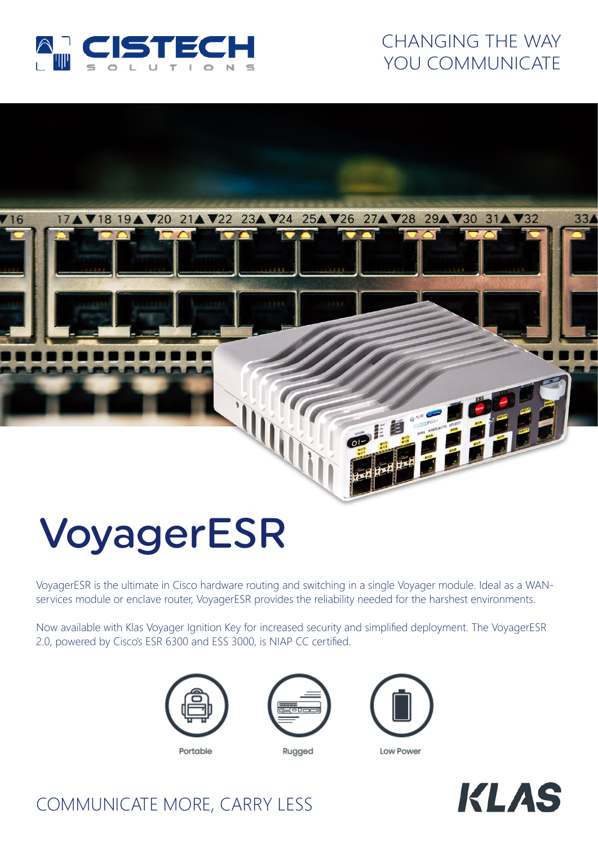

# CHANGING THE WAY YOU COMMUNICATE



# VoyagerESR

VoyagerESR is the ultimate in Cisco hardware routing and switching in a single Voyager module. Ideal as a WANservices module or enclave router, VoyagerESR provides the reliability needed for the harshest environments.

Now available with Klas Voyager Ignition Key for increased security and simplified deployment. The VoyagerESR 2.0, powered by Cisco's ESR 6300 and ESS 3000, is NIAP CC certified.





Rugged



Low Power



## COMMUNICATE MORE, CARRY LESS